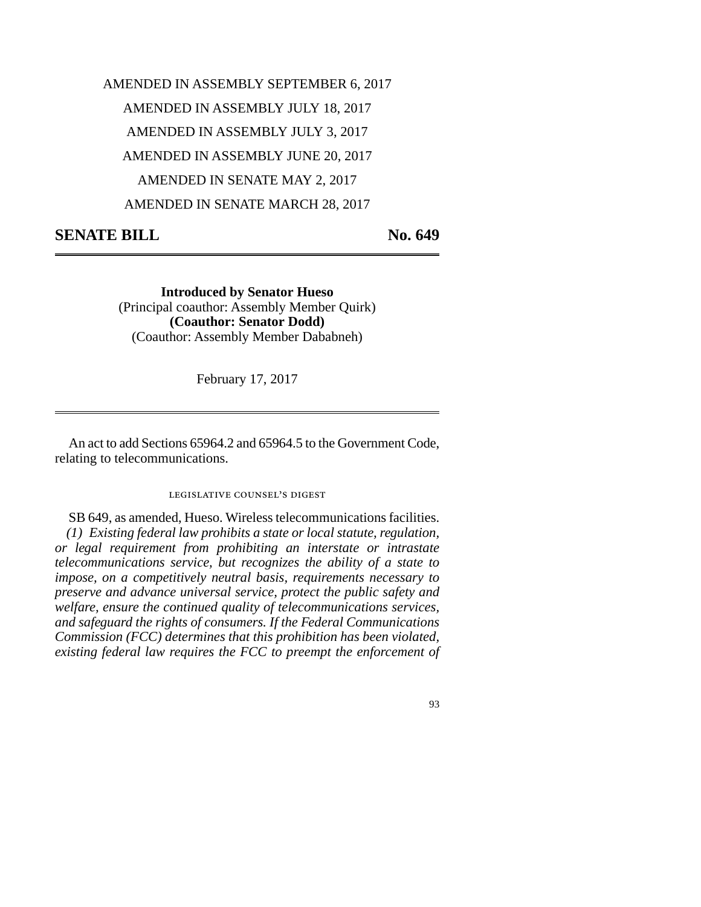## AMENDED IN ASSEMBLY SEPTEMBER 6, 2017 AMENDED IN ASSEMBLY JULY 18, 2017 AMENDED IN ASSEMBLY JULY 3, 2017 AMENDED IN ASSEMBLY JUNE 20, 2017 AMENDED IN SENATE MAY 2, 2017 AMENDED IN SENATE MARCH 28, 2017

## **SENATE BILL** No. 649

**Introduced by Senator Hueso** (Principal coauthor: Assembly Member Quirk) **(Coauthor: Senator Dodd)** (Coauthor: Assembly Member Dababneh)

February 17, 2017

An act to add Sections 65964.2 and 65964.5 to the Government Code, relating to telecommunications.

## legislative counsel's digest

SB 649, as amended, Hueso. Wireless telecommunications facilities. *(1) Existing federal law prohibits a state or local statute, regulation, or legal requirement from prohibiting an interstate or intrastate telecommunications service, but recognizes the ability of a state to impose, on a competitively neutral basis, requirements necessary to preserve and advance universal service, protect the public safety and welfare, ensure the continued quality of telecommunications services, and safeguard the rights of consumers. If the Federal Communications Commission (FCC) determines that this prohibition has been violated, existing federal law requires the FCC to preempt the enforcement of*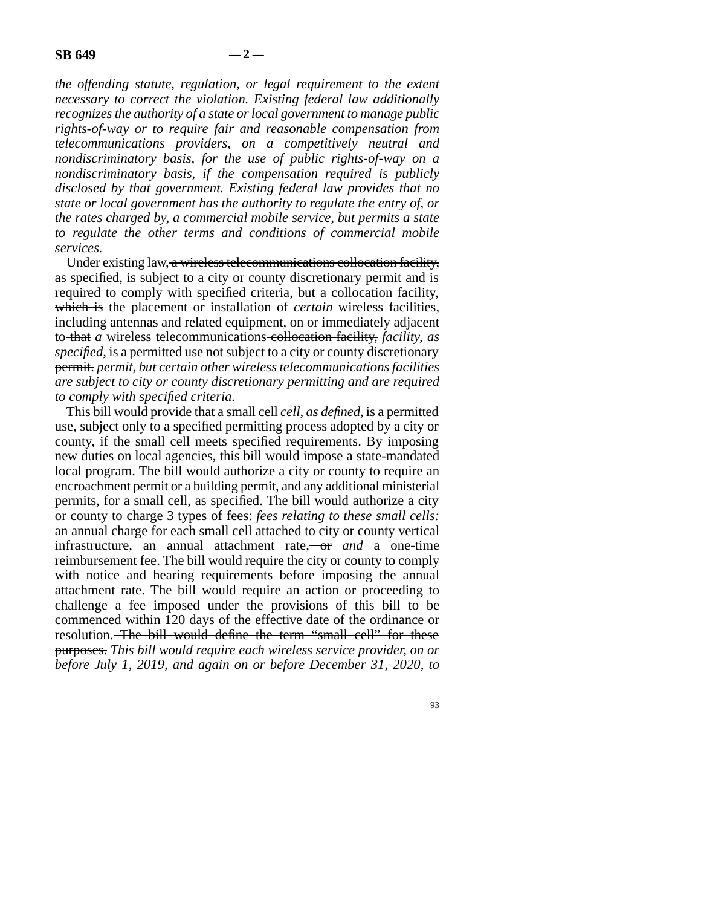*the offending statute, regulation, or legal requirement to the extent necessary to correct the violation. Existing federal law additionally recognizes the authority of a state or local government to manage public rights-of-way or to require fair and reasonable compensation from telecommunications providers, on a competitively neutral and nondiscriminatory basis, for the use of public rights-of-way on a nondiscriminatory basis, if the compensation required is publicly disclosed by that government. Existing federal law provides that no state or local government has the authority to regulate the entry of, or the rates charged by, a commercial mobile service, but permits a state to regulate the other terms and conditions of commercial mobile services.*

Under existing law, a wireless telecommunications collocation facility, as specified, is subject to a city or county discretionary permit and is required to comply with specified criteria, but a collocation facility, which is the placement or installation of *certain* wireless facilities, including antennas and related equipment, on or immediately adjacent to that *a* wireless telecommunications collocation facility, *facility, as specified,* is a permitted use not subject to a city or county discretionary permit. *permit, but certain other wireless telecommunications facilities are subject to city or county discretionary permitting and are required to comply with specified criteria.*

This bill would provide that a small-cell *cell*, as *defined*, is a permitted use, subject only to a specified permitting process adopted by a city or county, if the small cell meets specified requirements. By imposing new duties on local agencies, this bill would impose a state-mandated local program. The bill would authorize a city or county to require an encroachment permit or a building permit, and any additional ministerial permits, for a small cell, as specified. The bill would authorize a city or county to charge 3 types of fees: *fees relating to these small cells:* an annual charge for each small cell attached to city or county vertical infrastructure, an annual attachment rate, or and a one-time reimbursement fee. The bill would require the city or county to comply with notice and hearing requirements before imposing the annual attachment rate. The bill would require an action or proceeding to challenge a fee imposed under the provisions of this bill to be commenced within 120 days of the effective date of the ordinance or resolution. The bill would define the term "small cell" for these purposes. *This bill would require each wireless service provider, on or before July 1, 2019, and again on or before December 31, 2020, to*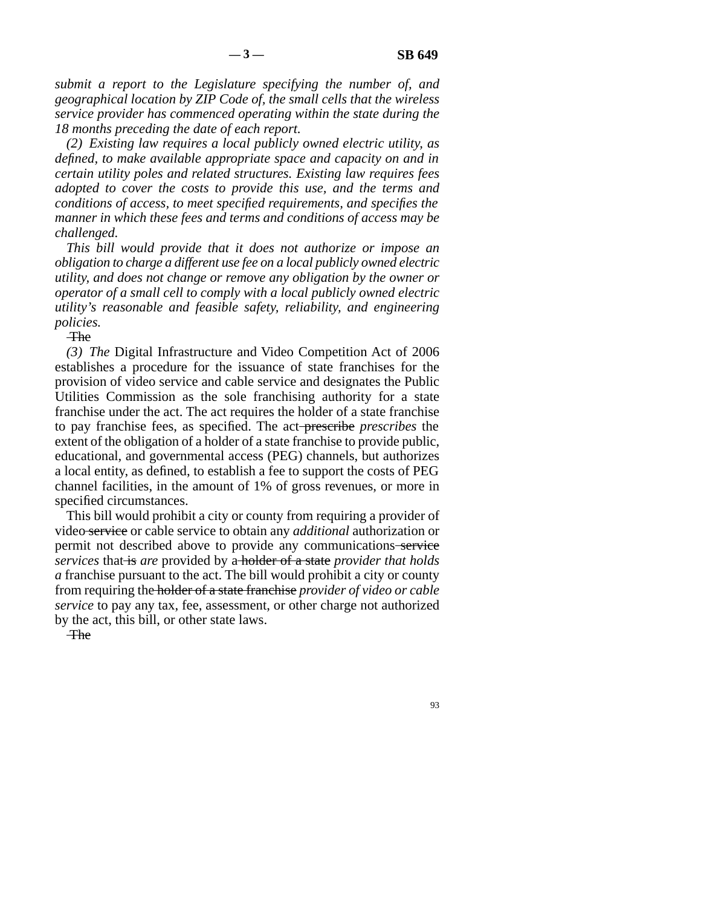*submit a report to the Legislature specifying the number of, and geographical location by ZIP Code of, the small cells that the wireless service provider has commenced operating within the state during the 18 months preceding the date of each report.*

*(2) Existing law requires a local publicly owned electric utility, as defined, to make available appropriate space and capacity on and in certain utility poles and related structures. Existing law requires fees adopted to cover the costs to provide this use, and the terms and conditions of access, to meet specified requirements, and specifies the manner in which these fees and terms and conditions of access may be challenged.*

*This bill would provide that it does not authorize or impose an obligation to charge a different use fee on a local publicly owned electric utility, and does not change or remove any obligation by the owner or operator of a small cell to comply with a local publicly owned electric utility's reasonable and feasible safety, reliability, and engineering policies.*

**The** 

*(3) The* Digital Infrastructure and Video Competition Act of 2006 establishes a procedure for the issuance of state franchises for the provision of video service and cable service and designates the Public Utilities Commission as the sole franchising authority for a state franchise under the act. The act requires the holder of a state franchise to pay franchise fees, as specified. The act prescribe *prescribes* the extent of the obligation of a holder of a state franchise to provide public, educational, and governmental access (PEG) channels, but authorizes a local entity, as defined, to establish a fee to support the costs of PEG channel facilities, in the amount of 1% of gross revenues, or more in specified circumstances.

This bill would prohibit a city or county from requiring a provider of video service or cable service to obtain any *additional* authorization or permit not described above to provide any communications service *services* that is *are* provided by a holder of a state *provider that holds a* franchise pursuant to the act. The bill would prohibit a city or county from requiring the holder of a state franchise *provider of video or cable service* to pay any tax, fee, assessment, or other charge not authorized by the act, this bill, or other state laws.

**The**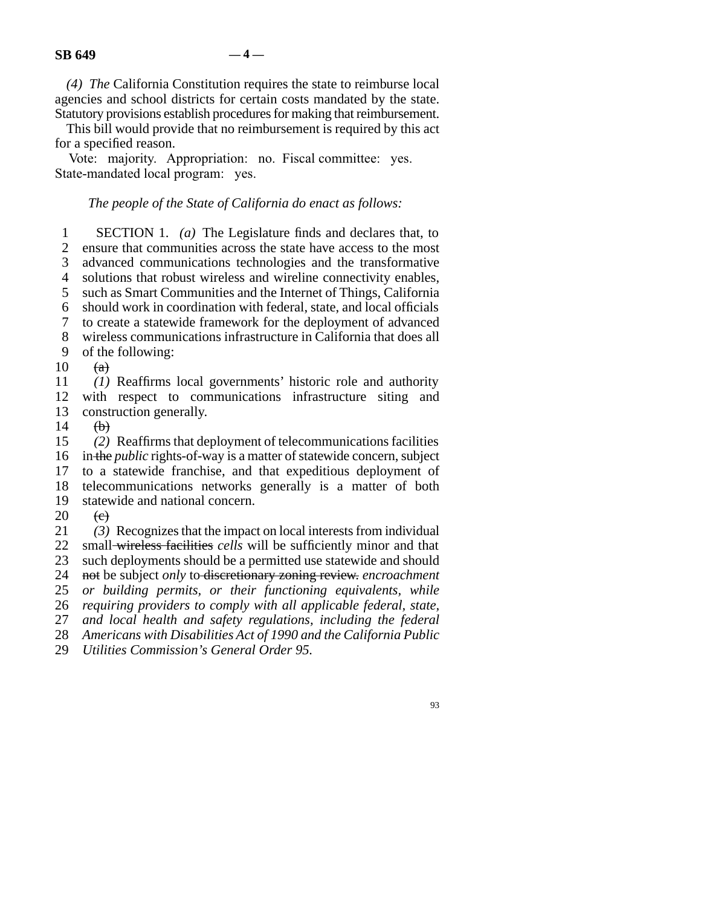*(4) The* California Constitution requires the state to reimburse local agencies and school districts for certain costs mandated by the state. Statutory provisions establish procedures for making that reimbursement.

This bill would provide that no reimbursement is required by this act for a specified reason.

Vote: majority. Appropriation: no. Fiscal committee: yes. State-mandated local program: yes.

## *The people of the State of California do enact as follows:*

**lacks** 1 SECTION 1. *(a)* The Legislature finds and declares that, to ensure that communities across the state have access to the most ensure that communities across the state have access to the most 3 advanced communications technologies and the transformative 4 solutions that robust wireless and wireline connectivity enables, 5 such as Smart Communities and the Internet of Things, California 6 should work in coordination with federal, state, and local officials line 7 to create a statewide framework for the deployment of advanced 8 wireless communications infrastructure in California that does all 9 of the following:  $10 \quad (a)$ 11 (1) Reaffirms local governments' historic role and authority 12 with respect to communications infrastructure siting and

13 construction generally.

 $\begin{array}{cc} 14 & \text{ (b)} \\ 15 & \text{ (2)} \end{array}$ (2) Reaffirms that deployment of telecommunications facilities 16 in the *public* rights-of-way is a matter of statewide concern, subject 17 to a statewide franchise, and that expeditious deployment of 18 telecommunications networks generally is a matter of both 19 statewide and national concern.  $20 \quad \text{e}$ 

21 (3) Recognizes that the impact on local interests from individual 22 small wireless facilities *cells* will be sufficiently minor and that 23 such deployments should be a permitted use statewide and should 24 not be subject *only* to discretionary zoning review. *encroachment* 25 *or building permits, or their functioning equivalents, while* 26 *requiring providers to comply with all applicable federal, state,* 27 *and local health and safety regulations, including the federal* 28 Americans with Disabilities Act of 1990 and the California Public

29 *Utilities Commission's General Order 95.*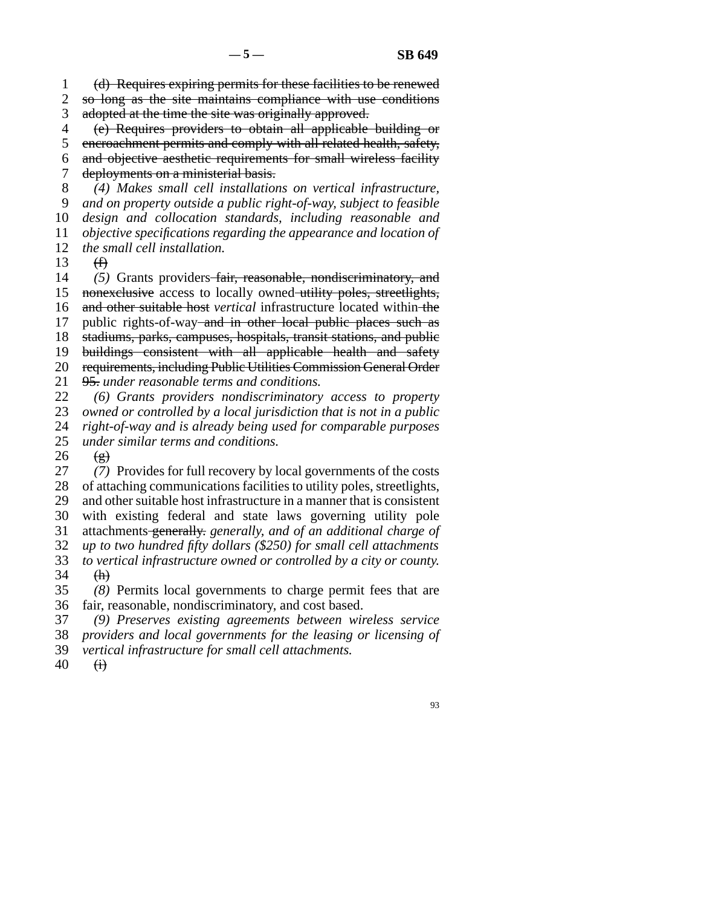line 1 (d) Requires expiring permits for these facilities to be renewed 2 so long as the site maintains compliance with use conditions 3 adopted at the time the site was originally approved.

 line 4 (e) Requires providers to obtain all applicable building or 5 encroachment permits and comply with all related health, safety,

6 and objective aesthetic requirements for small wireless facility 7 deployments on a ministerial basis.

 line 8 *(4) Makes small cell installations on vertical infrastructure,* line 9 *and on property outside a public right-of-way, subject to feasible* 10 *design and collocation standards, including reasonable and*  line 11 *objective specifications regarding the appearance and location of* 12 *the small cell installation.* 

13  $(f)$ 

14 (5) Grants providers fair, reasonable, nondiscriminatory, and 15 nonexclusive access to locally owned utility poles, streetlights, 16 and other suitable host *vertical* infrastructure located within the 17 public rights-of-way and in other local public places such as 18 stadiums, parks, campuses, hospitals, transit stations, and public 19 buildings consistent with all applicable health and safety 20 requirements, including Public Utilities Commission General Order 21 95. under reasonable terms and conditions.

22 (6) Grants providers nondiscriminatory access to property<br>23 owned or controlled by a local jurisdiction that is not in a public *owned or controlled by a local jurisdiction that is not in a public* 24 *right-of-way and is already being used for comparable purposes*<br>25 *under similar terms and conditions*. line 25 *under similar terms and conditions.*

 $\begin{matrix} 26 & (g) \\ 27 & (7) \end{matrix}$ (7) Provides for full recovery by local governments of the costs 28 of attaching communications facilities to utility poles, streetlights, 29 and other suitable host infrastructure in a manner that is consistent 30 with existing federal and state laws governing utility pole line 31 attachments generally. *generally, and of an additional charge of* line 32 *up to two hundred fifty dollars (\$250) for small cell attachments* 33 *to vertical infrastructure owned or controlled by a city or county.*  $34$  (h)

 line 35 *(8)* Permits local governments to charge permit fees that are 36 fair, reasonable, nondiscriminatory, and cost based.

line 37 *(9) Preserves existing agreements between wireless service*

 line 38 *providers and local governments for the leasing or licensing of* 39 *vertical infrastructure for small cell attachments.* 

 $40 \quad \overrightarrow{H}$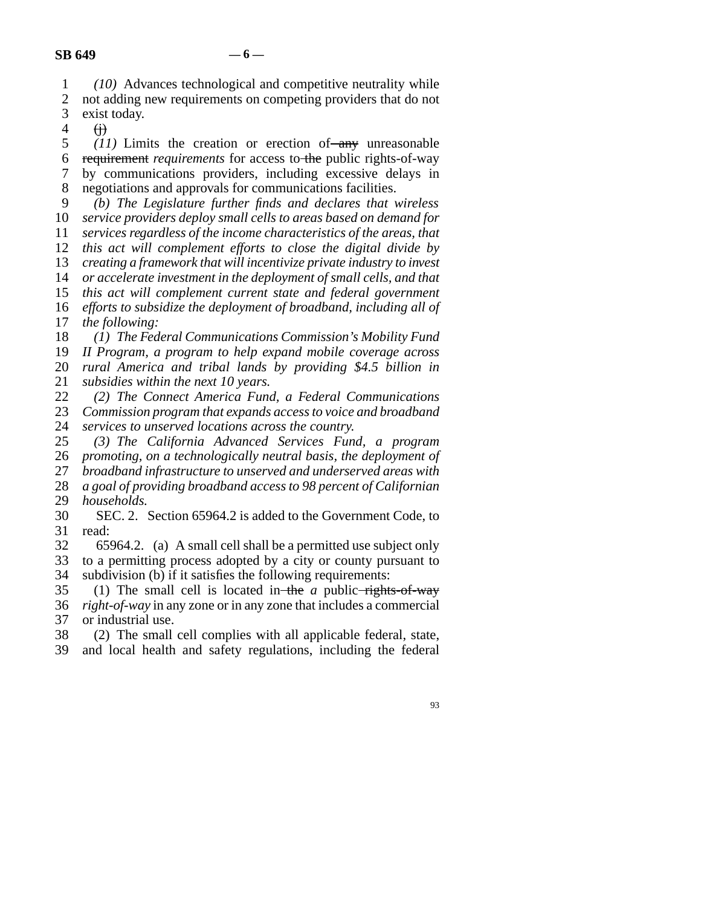line 1 *(10)* Advances technological and competitive neutrality while

2 not adding new requirements on competing providers that do not<br>3 exist today. exist today.

 $4 \quad \text{(i)}$ 

 $11$ ) Limits the creation or erection of any unreasonable line 6 requirement *requirements* for access to the public rights-of-way line 7 by communications providers, including excessive delays in 8 negotiations and approvals for communications facilities.

 line 9 *(b) The Legislature further finds and declares that wireless service providers deploy small cells to areas based on demand for services regardless of the income characteristics of the areas, that this act will complement efforts to close the digital divide by creating a framework that will incentivize private industry to invest or accelerate investment in the deployment of small cells, and that this act will complement current state and federal government efforts to subsidize the deployment of broadband, including all of* 

17 *the following:* 

18 (1) The Federal Communications Commission's Mobility Fund

19 *II Program, a program to help expand mobile coverage across* 20 *rural America and tribal lands by providing \$4.5 billion in* 

21 *subsidies within the next 10 years.* 

 line 22 *(2) The Connect America Fund, a Federal Communications* Commission program that expands access to voice and broadband

24 *services to unserved locations across the country.*<br>25 (3) The California Advanced Services Fun line 25 *(3) The California Advanced Services Fund, a program* line 26 *promoting, on a technologically neutral basis, the deployment of*

27 *broadband infrastructure to unserved and underserved areas with* 

28 *a goal of providing broadband access to 98 percent of Californian* 

29 *households.* 

30 SEC. 2. Section 65964.2 is added to the Government Code, to 31 read:

- 32 65964.2. (a) A small cell shall be a permitted use subject only<br>33 to a permitting process adopted by a city or county pursuant to to a permitting process adopted by a city or county pursuant to 34 subdivision (b) if it satisfies the following requirements:
- 35 (1) The small cell is located in the *a* public rights-of-way 36 *right-of-way* in any zone or in any zone that includes a commercial 37 or industrial use.

38 (2) The small cell complies with all applicable federal, state,

39 and local health and safety regulations, including the federal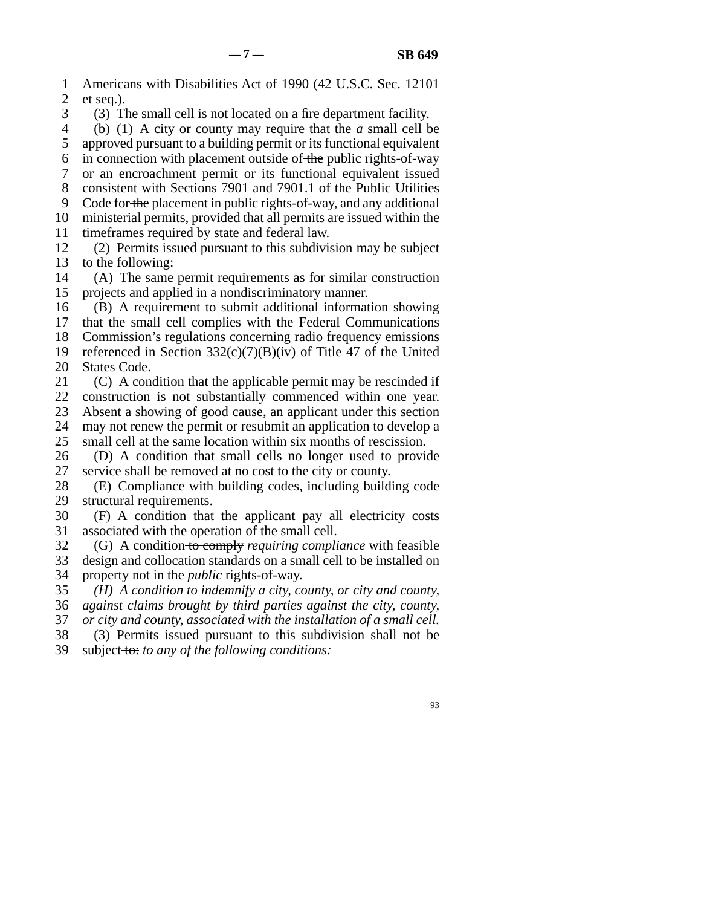1 Americans with Disabilities Act of 1990 (42 U.S.C. Sec. 12101) 2 et seq.). 3 (3) The small cell is not located on a fire department facility. line 4 (b) (1) A city or county may require that the *a* small cell be 5 approved pursuant to a building permit or its functional equivalent 6 in connection with placement outside of the public rights-of-way line 7 or an encroachment permit or its functional equivalent issued 8 consistent with Sections 7901 and 7901.1 of the Public Utilities 9 Code for the placement in public rights-of-way, and any additional 10 ministerial permits, provided that all permits are issued within the 11 time frames required by state and federal law.  $12$  (2) Permits issued pursuant to this subdivision may be subject 13 to the following: 14 (A) The same permit requirements as for similar construction 15 projects and applied in a nondiscriminatory manner. 16 (B) A requirement to submit additional information showing 17 that the small cell complies with the Federal Communications 18 Commission's regulations concerning radio frequency emissions 19 referenced in Section  $332(c)(7)(B)(iv)$  of Title 47 of the United 20 States Code. 21  $(C)$  A condition that the applicable permit may be rescinded if 22 construction is not substantially commenced within one year.

23 Absent a showing of good cause, an applicant under this section

- 24 may not renew the permit or resubmit an application to develop a<br>25 small cell at the same location within six months of rescission. small cell at the same location within six months of rescission.
- 26 (D) A condition that small cells no longer used to provide<br>27 service shall be removed at no cost to the city or county. service shall be removed at no cost to the city or county.
- 28 (E) Compliance with building codes, including building code 29 structural requirements.
- 30 (F) A condition that the applicant pay all electricity costs 31 associated with the operation of the small cell.
- line 32 (G) A condition to comply *requiring compliance* with feasible 33 design and collocation standards on a small cell to be installed on
- 34 property not in the *public* rights-of-way.
- line 35 *(H) A condition to indemnify a city, county, or city and county,* line 36 *against claims brought by third parties against the city, county,* 37 *or city and county, associated with the installation of a small cell.*
- 38 (3) Permits issued pursuant to this subdivision shall not be 39 subject to: *to any of the following conditions:* 
	- 93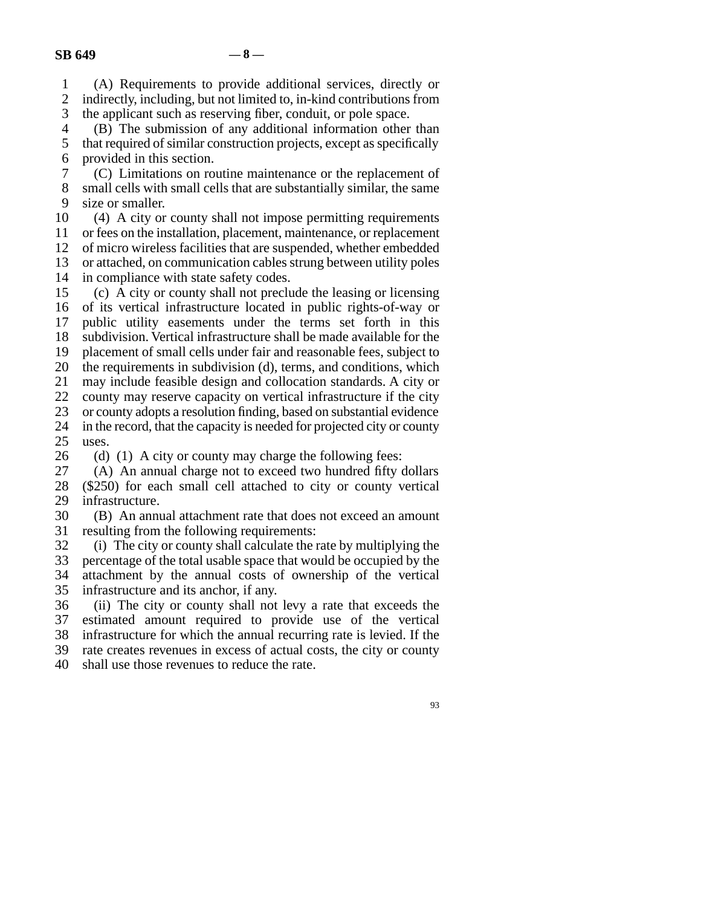line 1 (A) Requirements to provide additional services, directly or 2 indirectly, including, but not limited to, in-kind contributions from<br>3 the applicant such as reserving fiber, conduit, or pole space. the applicant such as reserving fiber, conduit, or pole space.

4 (B) The submission of any additional information other than 5 that required of similar construction projects, except as specifically 6 provided in this section.

7 (C) Limitations on routine maintenance or the replacement of 8 small cells with small cells that are substantially similar, the same 9 size or smaller.

10 (4) A city or county shall not impose permitting requirements 11 or fees on the installation, placement, maintenance, or replacement 12 of micro wireless facilities that are suspended, whether embedded 13 or attached, on communication cables strung between utility poles 14 in compliance with state safety codes. 15 (c) A city or county shall not preclude the leasing or licensing

16 of its vertical infrastructure located in public rights-of-way or 17 public utility easements under the terms set forth in this 18 subdivision. Vertical infrastructure shall be made available for the 19 placement of small cells under fair and reasonable fees, subject to 20 the requirements in subdivision (d), terms, and conditions, which 21 may include feasible design and collocation standards. A city or 22 county may reserve capacity on vertical infrastructure if the city 23 or county adopts a resolution finding, based on substantial evidence

24 in the record, that the capacity is needed for projected city or county<br>25 uses. uses.

26 (d) (1) A city or county may charge the following fees:<br>27 (A) An annual charge not to exceed two hundred fifty of

 $(A)$  An annual charge not to exceed two hundred fifty dollars 28 (\$250) for each small cell attached to city or county vertical 29 infrastructure.

30 (B) An annual attachment rate that does not exceed an amount 31 resulting from the following requirements:

32 (i) The city or county shall calculate the rate by multiplying the percentage of the total usable space that would be occupied by the percentage of the total usable space that would be occupied by the 34 attachment by the annual costs of ownership of the vertical 35 infrastructure and its anchor, if any.

36 (ii) The city or county shall not levy a rate that exceeds the 37 estimated amount required to provide use of the vertical 38 infrastructure for which the annual recurring rate is levied. If the 39 rate creates revenues in excess of actual costs, the city or county 40 shall use those revenues to reduce the rate.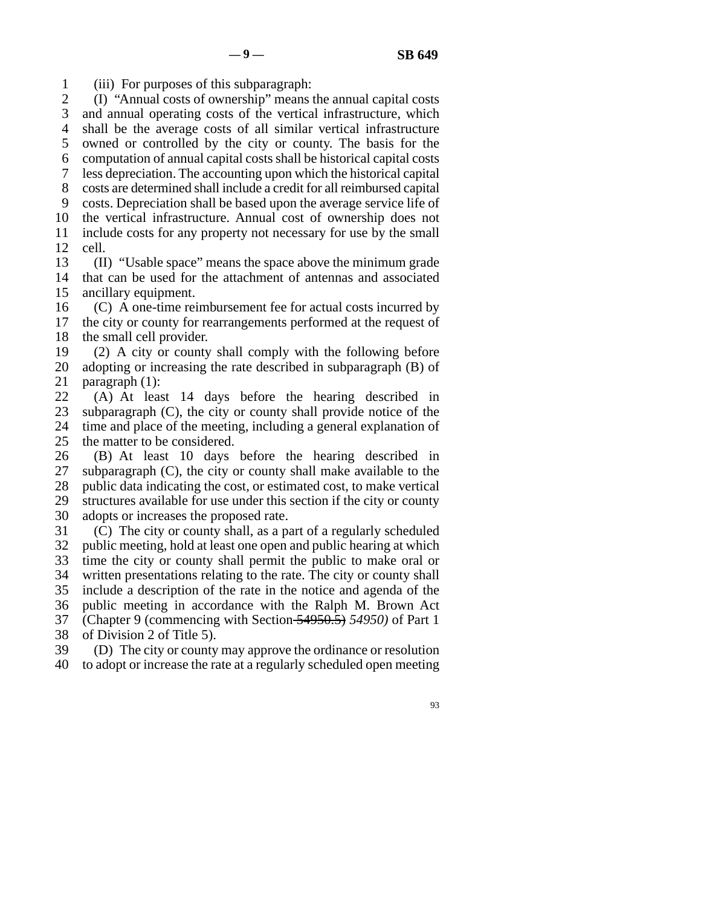line 1 (iii) For purposes of this subparagraph:

2 (I) "Annual costs of ownership" means the annual capital costs 3 and annual operating costs of the vertical infrastructure, which 4 shall be the average costs of all similar vertical infrastructure 5 owned or controlled by the city or county. The basis for the line 6 computation of annual capital costs shall be historical capital costs line 7 less depreciation. The accounting upon which the historical capital 8 costs are determined shall include a credit for all reimbursed capital 9 costs. Depreciation shall be based upon the average service life of 10 the vertical infrastructure. Annual cost of ownership does not line 11 include costs for any property not necessary for use by the small  $12$  cell.

13 (II) "Usable space" means the space above the minimum grade 14 that can be used for the attachment of antennas and associated 15 ancillary equipment.

 $16$  (C) A one-time reimbursement fee for actual costs incurred by 17 the city or county for rearrangements performed at the request of 18 the small cell provider.

19  $(2)$  A city or county shall comply with the following before 20 adopting or increasing the rate described in subparagraph (B) of 21 paragraph  $(1)$ :

22 (A) At least 14 days before the hearing described in  $23$  subparagraph (C), the city or county shall provide notice of the subparagraph  $(C)$ , the city or county shall provide notice of the 24 time and place of the meeting, including a general explanation of 25 the matter to be considered. the matter to be considered.

26 (B) At least 10 days before the hearing described in 27 subparagraph (C), the city or county shall make available to the subparagraph  $(C)$ , the city or county shall make available to the 28 public data indicating the cost, or estimated cost, to make vertical 29 structures available for use under this section if the city or county 30 adopts or increases the proposed rate.

 $10$  (C) The city or county shall, as a part of a regularly scheduled 32 public meeting, hold at least one open and public hearing at which 33 time the city or county shall permit the public to make oral or 34 written presentations relating to the rate. The city or county shall 35 include a description of the rate in the notice and agenda of the 36 public meeting in accordance with the Ralph M. Brown Act line 37 (Chapter 9 (commencing with Section 54950.5) *54950)* of Part 1 38 of Division 2 of Title 5).

39 (D) The city or county may approve the ordinance or resolution 40 to adopt or increase the rate at a regularly scheduled open meeting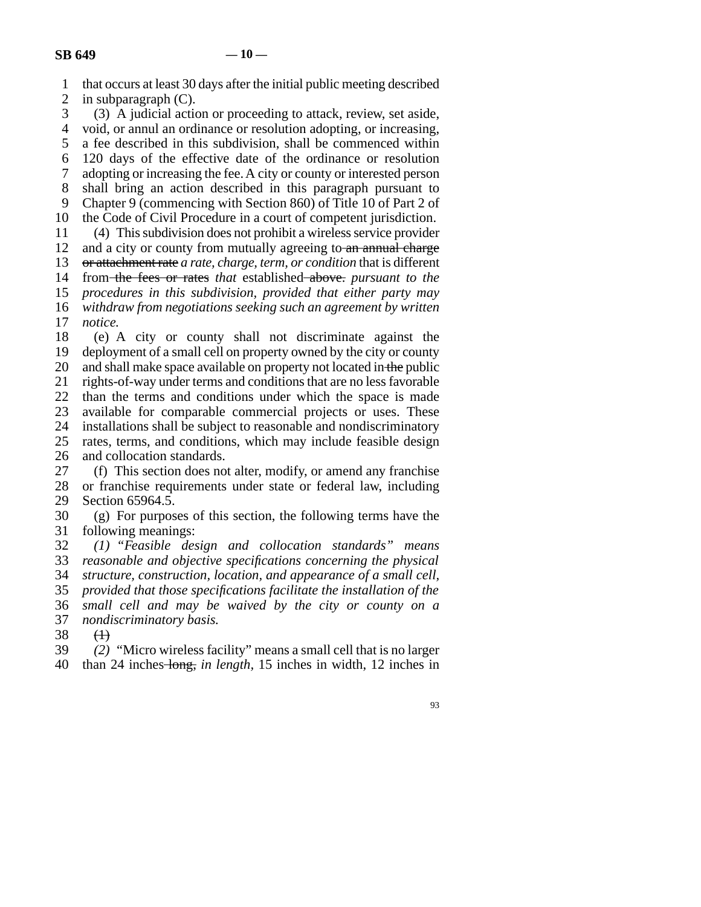- 1 that occurs at least 30 days after the initial public meeting described
- 2 in subparagraph  $(C)$ .<br>3 (3) A judicial action

 $\lambda$  (3) A judicial action or proceeding to attack, review, set aside,

4 void, or annul an ordinance or resolution adopting, or increasing,

5 a fee described in this subdivision, shall be commenced within

line 6 120 days of the effective date of the ordinance or resolution

7 adopting or increasing the fee. A city or county or interested person

8 shall bring an action described in this paragraph pursuant to 9 Chapter 9 (commencing with Section 860) of Title 10 of Part 2 of

10 the Code of Civil Procedure in a court of competent jurisdiction.

line 11 (4) This subdivision does not prohibit a wireless service provider

12 and a city or county from mutually agreeing to  $an$  annual charge

13 or attachment rate *a rate*, *charge*, *term, or condition* that is different

14 from the fees or rates *that* established above. *pursuant to the* 

15 *procedures in this subdivision, provided that either party may* 

16 *withdraw from negotiations seeking such an agreement by written* 17 *notice*.

18 (e) A city or county shall not discriminate against the 19 deployment of a small cell on property owned by the city or county 20 and shall make space available on property not located in the public 21 rights-of-way under terms and conditions that are no less favorable 22 than the terms and conditions under which the space is made 23 available for comparable commercial projects or uses. These 24 installations shall be subject to reasonable and nondiscriminatory<br>25 rates, terms, and conditions, which may include feasible design rates, terms, and conditions, which may include feasible design 26 and collocation standards.

27 (f) This section does not alter, modify, or amend any franchise<br>28 or franchise requirements under state or federal law, including or franchise requirements under state or federal law, including 29 Section 65964.5.

30 (g) For purposes of this section, the following terms have the 31 following meanings:

 line 32 *(1) "Feasible design and collocation standards" means* reasonable and objective specifications concerning the physical line 34 *structure, construction, location, and appearance of a small cell,* line 35 *provided that those specifications facilitate the installation of the* line 36 *small cell and may be waived by the city or county on a* 37 *nondiscriminatory basis.* 

 $\begin{matrix} 38 & (1) \\ 39 & (2) \end{matrix}$ (2) "Micro wireless facility" means a small cell that is no larger line 40 than 24 inches long, *in length,* 15 inches in width, 12 inches in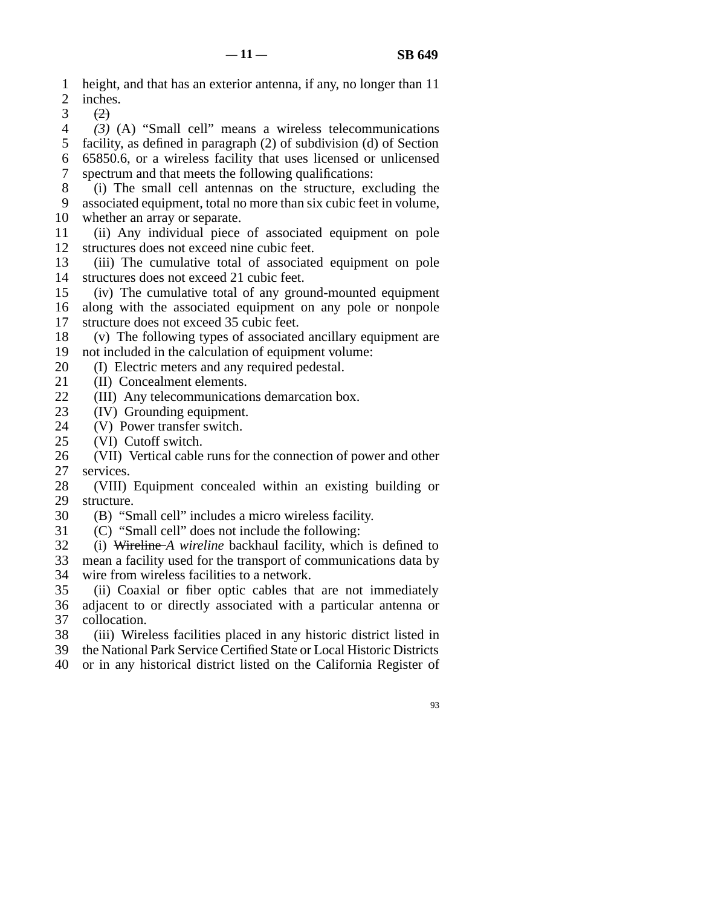- line 1 height, and that has an exterior antenna, if any, no longer than 11 2 inches.<br>3  $\frac{(2)}{(2)}$
- $\leftrightarrow$

 line 4 *(3)* (A) "Small cell" means a wireless telecommunications 5 facility, as defined in paragraph  $(2)$  of subdivision  $(d)$  of Section line 6 65850.6, or a wireless facility that uses licensed or unlicensed 7 spectrum and that meets the following qualifications:

8 (i) The small cell antennas on the structure, excluding the 9 associated equipment, total no more than six cubic feet in volume, 10 whether an array or separate.

- line 11 (ii) Any individual piece of associated equipment on pole 12 structures does not exceed nine cubic feet.
- 13 (iii) The cumulative total of associated equipment on pole 14 structures does not exceed 21 cubic feet.
- 15 (iv) The cumulative total of any ground-mounted equipment
- 16 along with the associated equipment on any pole or nonpole
- 17 structure does not exceed 35 cubic feet.
- 18 (v) The following types of associated ancillary equipment are
- 19 not included in the calculation of equipment volume:
- 20 (I) Electric meters and any required pedestal.
- 21 (II) Concealment elements.
- 22 (III) Any telecommunications demarcation box.<br>23 (IV) Grounding equipment.
- line 23 (IV) Grounding equipment.
- 24 (V) Power transfer switch.<br>25 (VI) Cutoff switch.
- (VI) Cutoff switch.
- 26 (VII) Vertical cable runs for the connection of power and other 27 services.

28 (VIII) Equipment concealed within an existing building or 29 structure.

- 30 (B) "Small cell" includes a micro wireless facility.
- 31 (C) "Small cell" does not include the following:
- line 32 (i) Wireline *A wireline* backhaul facility, which is defined to

33 mean a facility used for the transport of communications data by 34 wire from wireless facilities to a network.

- 35 (ii) Coaxial or fiber optic cables that are not immediately 36 adjacent to or directly associated with a particular antenna or 37 collocation.
- 38 (iii) Wireless facilities placed in any historic district listed in
- 39 the National Park Service Certified State or Local Historic Districts
- 40 or in any historical district listed on the California Register of
	- 93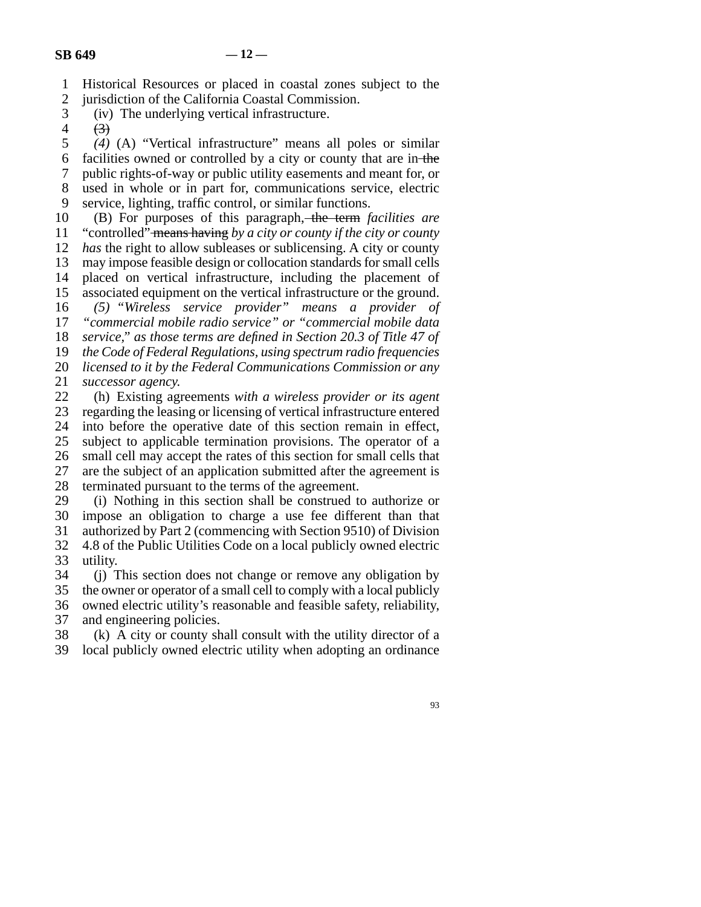- line 1 Historical Resources or placed in coastal zones subject to the
- 2 jurisdiction of the California Coastal Commission.<br>3 (iv) The underlying vertical infrastructure. (iv) The underlying vertical infrastructure.

line 5 *(4)* (A) "Vertical infrastructure" means all poles or similar

6 facilities owned or controlled by a city or county that are in the

line 7 public rights-of-way or public utility easements and meant for, or

8 used in whole or in part for, communications service, electric

9 service, lighting, traffic control, or similar functions.

10 (B) For purposes of this paragraph, the term *facilities are* 

11 "controlled" means having by a city or county if the city or county

12 *has* the right to allow subleases or sublicensing. A city or county 13 may impose feasible design or collocation standards for small cells

14 placed on vertical infrastructure, including the placement of

15 associated equipment on the vertical infrastructure or the ground.

 line 16 *(5) "Wireless service provider" means a provider of* 17 *"commercial mobile radio service" or "commercial mobile data* 

18 *service," as those terms are defined in Section 20.3 of Title 47 of* 

19 *the Code of Federal Regulations, using spectrum radio frequencies* 

20 *licensed to it by the Federal Communications Commission or any* 

21 *successor agency.* 

22 (h) Existing agreements *with a wireless provider or its agent*<br>23 regarding the leasing or licensing of vertical infrastructure entered regarding the leasing or licensing of vertical infrastructure entered 24 into before the operative date of this section remain in effect,<br>25 subject to applicable termination provisions. The operator of a subject to applicable termination provisions. The operator of a 26 small cell may accept the rates of this section for small cells that 27 are the subject of an application submitted after the agreement is 28 terminated pursuant to the terms of the agreement.

29 (i) Nothing in this section shall be construed to authorize or 30 impose an obligation to charge a use fee different than that

31 authorized by Part 2 (commencing with Section 9510) of Division 32 4.8 of the Public Utilities Code on a local publicly owned electric 33 utility.

34 (i) This section does not change or remove any obligation by 35 the owner or operator of a small cell to comply with a local publicly

36 owned electric utility's reasonable and feasible safety, reliability, 37 and engineering policies.

 $\delta$  (k) A city or county shall consult with the utility director of a

39 local publicly owned electric utility when adopting an ordinance

 $4 \t\t (3)$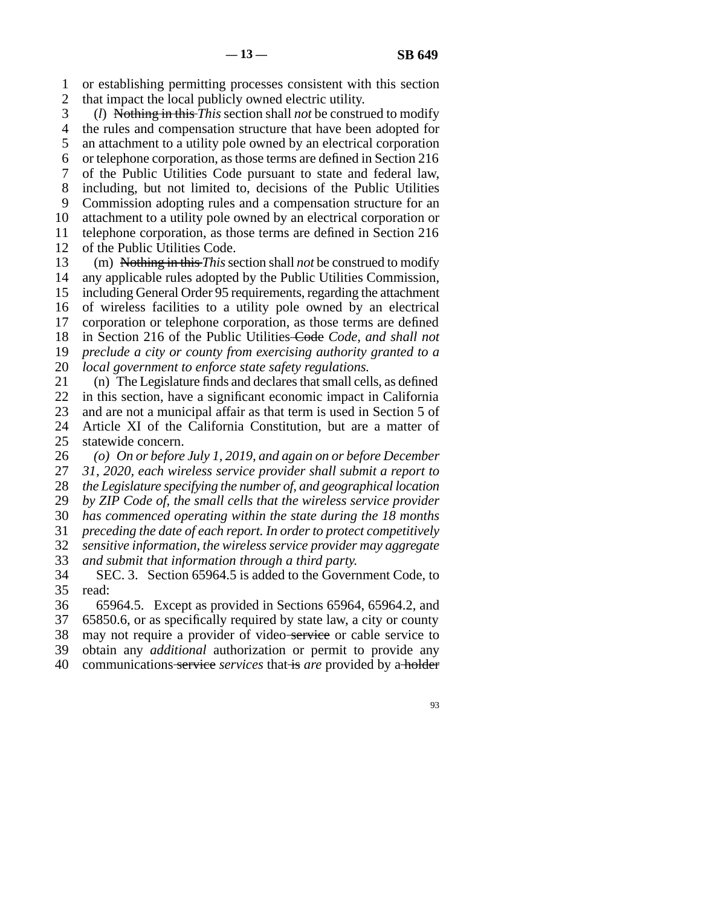line 1 or establishing permitting processes consistent with this section 2 that impact the local publicly owned electric utility.

 line 3 (*l*) Nothing in this *This* section shall *not* be construed to modify 4 the rules and compensation structure that have been adopted for 5 an attachment to a utility pole owned by an electrical corporation 6 or telephone corporation, as those terms are defined in Section 216 7 of the Public Utilities Code pursuant to state and federal law, 8 including, but not limited to, decisions of the Public Utilities 9 Commission adopting rules and a compensation structure for an 10 attachment to a utility pole owned by an electrical corporation or 11 telephone corporation, as those terms are defined in Section 216 12 of the Public Utilities Code.

13 (m) Nothing in this *This* section shall *not* be construed to modify 14 any applicable rules adopted by the Public Utilities Commission, 15 including General Order 95 requirements, regarding the attachment 16 of wireless facilities to a utility pole owned by an electrical 17 corporation or telephone corporation, as those terms are defined 18 in Section 216 of the Public Utilities Code, and shall not 19 *preclude a city or county from exercising authority granted to a* 20 *local government to enforce state safety regulations.* 

21 (n) The Legislature finds and declares that small cells, as defined 22 in this section, have a significant economic impact in California 23 and are not a municipal affair as that term is used in Section 5 of 24 Article XI of the California Constitution, but are a matter of 25 statewide concern.

statewide concern.

26 *(o)* On or before July 1, 2019, and again on or before December

27 31, 2020, each wireless service provider shall submit a report to

28 *the Legislature specifying the number of, and geographical location* 

29 *by ZIP Code of, the small cells that the wireless service provider* 

line 30 *has commenced operating within the state during the 18 months*

31 *preceding the date of each report. In order to protect competitively* line 32 *sensitive information, the wireless service provider may aggregate*

33 and submit that information through a third party.

34 SEC. 3. Section 65964.5 is added to the Government Code, to 35 read:

36 65964.5. Except as provided in Sections 65964, 65964.2, and 37 65850.6, or as specifically required by state law, a city or county 38 may not require a provider of video service or cable service to 39 obtain any *additional* authorization or permit to provide any

line 40 communications service *services* that is *are* provided by a holder